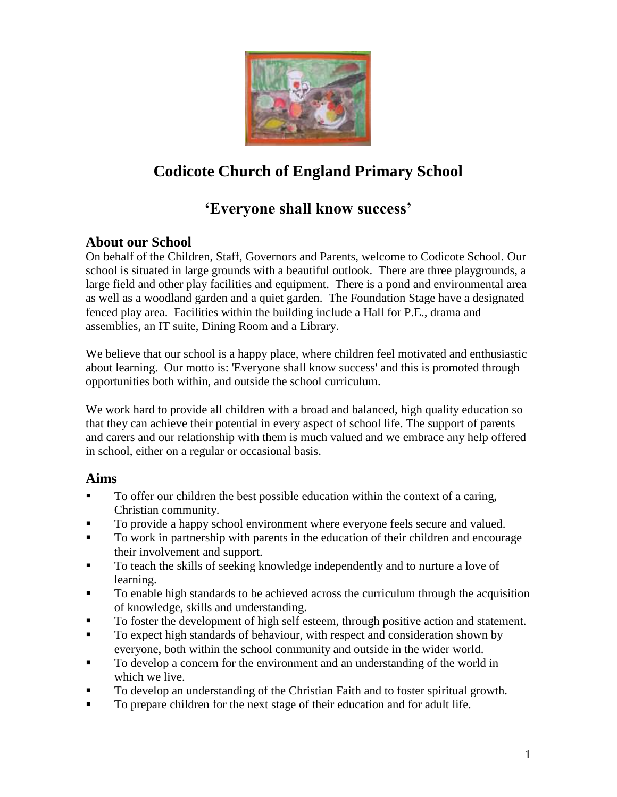

# **Codicote Church of England Primary School**

## **'Everyone shall know success'**

## **About our School**

On behalf of the Children, Staff, Governors and Parents, welcome to Codicote School. Our school is situated in large grounds with a beautiful outlook. There are three playgrounds, a large field and other play facilities and equipment. There is a pond and environmental area as well as a woodland garden and a quiet garden. The Foundation Stage have a designated fenced play area. Facilities within the building include a Hall for P.E., drama and assemblies, an IT suite, Dining Room and a Library.

We believe that our school is a happy place, where children feel motivated and enthusiastic about learning. Our motto is: 'Everyone shall know success' and this is promoted through opportunities both within, and outside the school curriculum.

We work hard to provide all children with a broad and balanced, high quality education so that they can achieve their potential in every aspect of school life. The support of parents and carers and our relationship with them is much valued and we embrace any help offered in school, either on a regular or occasional basis.

## **Aims**

- To offer our children the best possible education within the context of a caring, Christian community.
- To provide a happy school environment where everyone feels secure and valued.
- To work in partnership with parents in the education of their children and encourage their involvement and support.
- To teach the skills of seeking knowledge independently and to nurture a love of learning.
- To enable high standards to be achieved across the curriculum through the acquisition of knowledge, skills and understanding.
- To foster the development of high self esteem, through positive action and statement.
- To expect high standards of behaviour, with respect and consideration shown by everyone, both within the school community and outside in the wider world.
- To develop a concern for the environment and an understanding of the world in which we live.
- To develop an understanding of the Christian Faith and to foster spiritual growth.
- To prepare children for the next stage of their education and for adult life.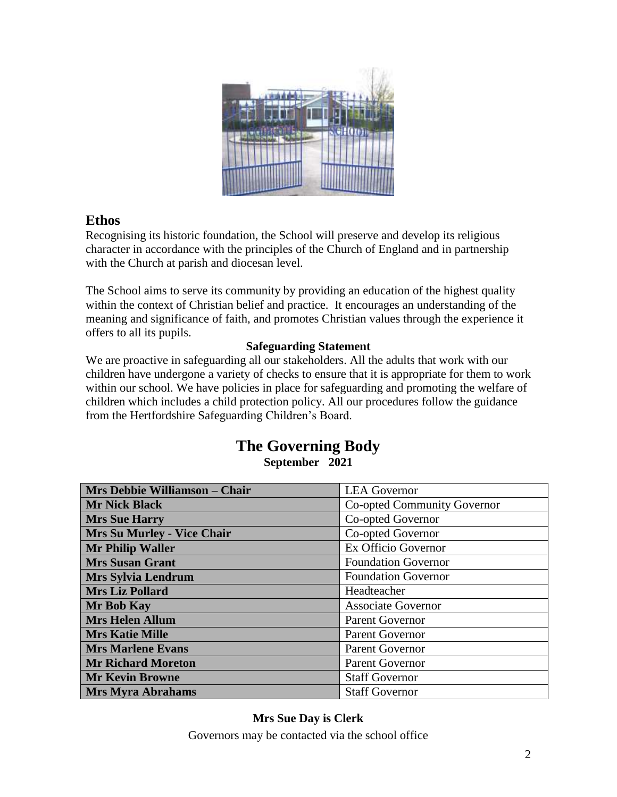

### **Ethos**

Recognising its historic foundation, the School will preserve and develop its religious character in accordance with the principles of the Church of England and in partnership with the Church at parish and diocesan level.

The School aims to serve its community by providing an education of the highest quality within the context of Christian belief and practice. It encourages an understanding of the meaning and significance of faith, and promotes Christian values through the experience it offers to all its pupils.

#### **Safeguarding Statement**

We are proactive in safeguarding all our stakeholders. All the adults that work with our children have undergone a variety of checks to ensure that it is appropriate for them to work within our school. We have policies in place for safeguarding and promoting the welfare of children which includes a child protection policy. All our procedures follow the guidance from the Hertfordshire Safeguarding Children's Board.

## **The Governing Body September 2021**

| Mrs Debbie Williamson - Chair     | <b>LEA</b> Governor         |
|-----------------------------------|-----------------------------|
| <b>Mr Nick Black</b>              | Co-opted Community Governor |
| <b>Mrs Sue Harry</b>              | Co-opted Governor           |
| <b>Mrs Su Murley - Vice Chair</b> | Co-opted Governor           |
| <b>Mr Philip Waller</b>           | Ex Officio Governor         |
| <b>Mrs Susan Grant</b>            | <b>Foundation Governor</b>  |
| <b>Mrs Sylvia Lendrum</b>         | <b>Foundation Governor</b>  |
| <b>Mrs Liz Pollard</b>            | Headteacher                 |
| <b>Mr</b> Bob Kay                 | <b>Associate Governor</b>   |
| <b>Mrs Helen Allum</b>            | <b>Parent Governor</b>      |
| <b>Mrs Katie Mille</b>            | Parent Governor             |
| <b>Mrs Marlene Evans</b>          | <b>Parent Governor</b>      |
| <b>Mr Richard Moreton</b>         | <b>Parent Governor</b>      |
| <b>Mr Kevin Browne</b>            | <b>Staff Governor</b>       |
| <b>Mrs Myra Abrahams</b>          | <b>Staff Governor</b>       |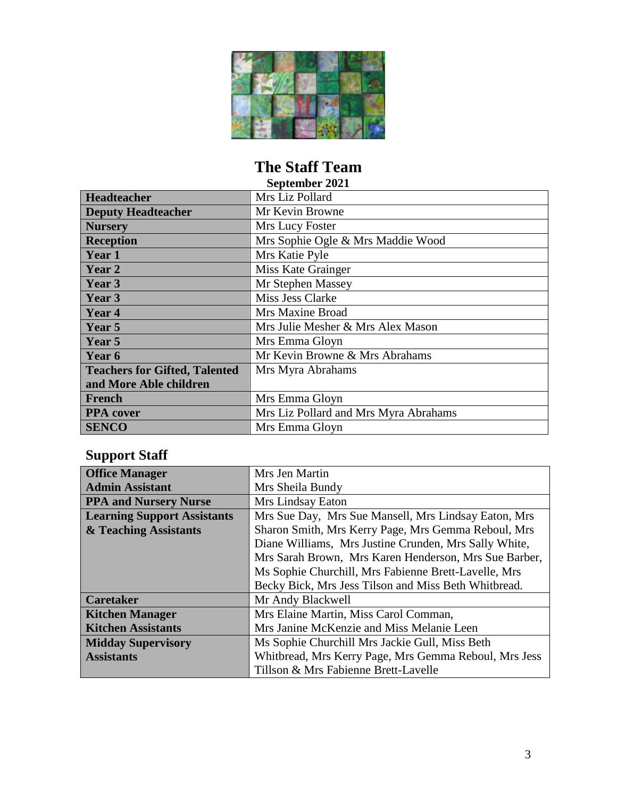

## **The Staff Team September 2021**

| DUPRAMOLI 2021                       |                                       |  |
|--------------------------------------|---------------------------------------|--|
| Headteacher                          | Mrs Liz Pollard                       |  |
| <b>Deputy Headteacher</b>            | Mr Kevin Browne                       |  |
| <b>Nursery</b>                       | Mrs Lucy Foster                       |  |
| <b>Reception</b>                     | Mrs Sophie Ogle & Mrs Maddie Wood     |  |
| Year 1                               | Mrs Katie Pyle                        |  |
| <b>Year 2</b>                        | Miss Kate Grainger                    |  |
| Year 3                               | Mr Stephen Massey                     |  |
| Year 3                               | Miss Jess Clarke                      |  |
| Year 4                               | Mrs Maxine Broad                      |  |
| Year 5                               | Mrs Julie Mesher & Mrs Alex Mason     |  |
| Year 5                               | Mrs Emma Gloyn                        |  |
| Year 6                               | Mr Kevin Browne & Mrs Abrahams        |  |
| <b>Teachers for Gifted, Talented</b> | Mrs Myra Abrahams                     |  |
| and More Able children               |                                       |  |
| French                               | Mrs Emma Gloyn                        |  |
| <b>PPA</b> cover                     | Mrs Liz Pollard and Mrs Myra Abrahams |  |
| <b>SENCO</b>                         | Mrs Emma Gloyn                        |  |

# **Support Staff**

| <b>Office Manager</b>              | Mrs Jen Martin                                        |  |
|------------------------------------|-------------------------------------------------------|--|
| <b>Admin Assistant</b>             | Mrs Sheila Bundy                                      |  |
| <b>PPA and Nursery Nurse</b>       | Mrs Lindsay Eaton                                     |  |
| <b>Learning Support Assistants</b> | Mrs Sue Day, Mrs Sue Mansell, Mrs Lindsay Eaton, Mrs  |  |
| & Teaching Assistants              | Sharon Smith, Mrs Kerry Page, Mrs Gemma Reboul, Mrs   |  |
|                                    | Diane Williams, Mrs Justine Crunden, Mrs Sally White, |  |
|                                    | Mrs Sarah Brown, Mrs Karen Henderson, Mrs Sue Barber, |  |
|                                    | Ms Sophie Churchill, Mrs Fabienne Brett-Lavelle, Mrs  |  |
|                                    | Becky Bick, Mrs Jess Tilson and Miss Beth Whitbread.  |  |
| <b>Caretaker</b>                   | Mr Andy Blackwell                                     |  |
| <b>Kitchen Manager</b>             | Mrs Elaine Martin, Miss Carol Comman,                 |  |
| <b>Kitchen Assistants</b>          | Mrs Janine McKenzie and Miss Melanie Leen             |  |
| <b>Midday Supervisory</b>          | Ms Sophie Churchill Mrs Jackie Gull, Miss Beth        |  |
| <b>Assistants</b>                  | Whitbread, Mrs Kerry Page, Mrs Gemma Reboul, Mrs Jess |  |
|                                    | Tillson & Mrs Fabienne Brett-Lavelle                  |  |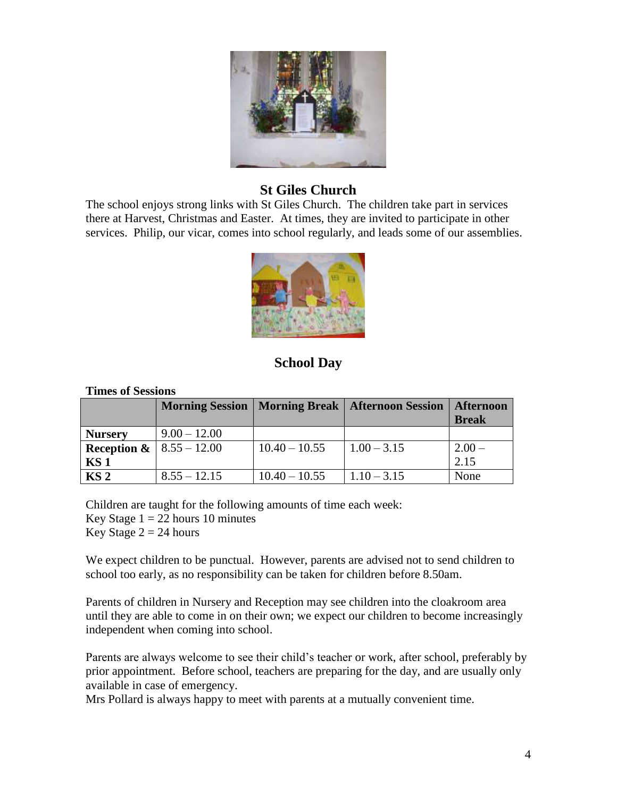

## **St Giles Church**

The school enjoys strong links with St Giles Church. The children take part in services there at Harvest, Christmas and Easter. At times, they are invited to participate in other services. Philip, our vicar, comes into school regularly, and leads some of our assemblies.



## **School Day**

| тицез от реззгонз                       |                        |                 |                                   |                                  |
|-----------------------------------------|------------------------|-----------------|-----------------------------------|----------------------------------|
|                                         | <b>Morning Session</b> |                 | Morning Break   Afternoon Session | <b>Afternoon</b><br><b>Break</b> |
| <b>Nursery</b>                          | $9.00 - 12.00$         |                 |                                   |                                  |
| <b>Reception &amp;</b>   $8.55 - 12.00$ |                        | $10.40 - 10.55$ | $1.00 - 3.15$                     | $2.00 -$                         |
| KS <sub>1</sub>                         |                        |                 |                                   | 2.15                             |
| KS <sub>2</sub>                         | $8.55 - 12.15$         | $10.40 - 10.55$ | $1.10 - 3.15$                     | None                             |

# Children are taught for the following amounts of time each week: Key Stage  $1 = 22$  hours 10 minutes

Key Stage  $2 = 24$  hours

**Times of Sessions**

We expect children to be punctual. However, parents are advised not to send children to school too early, as no responsibility can be taken for children before 8.50am.

Parents of children in Nursery and Reception may see children into the cloakroom area until they are able to come in on their own; we expect our children to become increasingly independent when coming into school.

Parents are always welcome to see their child's teacher or work, after school, preferably by prior appointment. Before school, teachers are preparing for the day, and are usually only available in case of emergency.

Mrs Pollard is always happy to meet with parents at a mutually convenient time.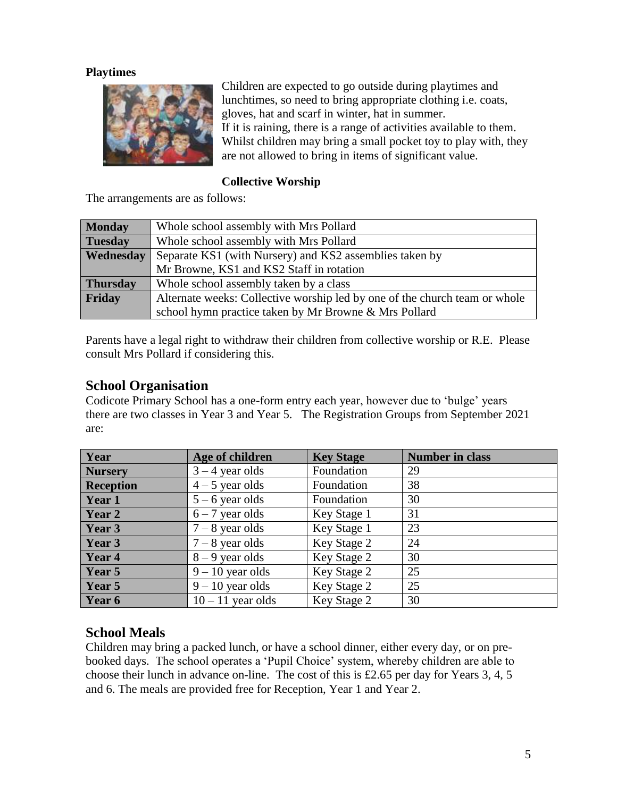#### **Playtimes**



Children are expected to go outside during playtimes and lunchtimes, so need to bring appropriate clothing i.e. coats, gloves, hat and scarf in winter, hat in summer. If it is raining, there is a range of activities available to them. Whilst children may bring a small pocket toy to play with, they are not allowed to bring in items of significant value.

#### **Collective Worship**

The arrangements are as follows:

| <b>Monday</b>   | Whole school assembly with Mrs Pollard                                     |
|-----------------|----------------------------------------------------------------------------|
| <b>Tuesday</b>  | Whole school assembly with Mrs Pollard                                     |
| Wednesday       | Separate KS1 (with Nursery) and KS2 assemblies taken by                    |
|                 | Mr Browne, KS1 and KS2 Staff in rotation                                   |
| <b>Thursday</b> | Whole school assembly taken by a class                                     |
| Friday          | Alternate weeks: Collective worship led by one of the church team or whole |
|                 | school hymn practice taken by Mr Browne & Mrs Pollard                      |

Parents have a legal right to withdraw their children from collective worship or R.E. Please consult Mrs Pollard if considering this.

### **School Organisation**

Codicote Primary School has a one-form entry each year, however due to 'bulge' years there are two classes in Year 3 and Year 5. The Registration Groups from September 2021 are:

| Year             | Age of children     | <b>Key Stage</b> | <b>Number in class</b> |
|------------------|---------------------|------------------|------------------------|
| <b>Nursery</b>   | $3 - 4$ year olds   | Foundation       | 29                     |
| <b>Reception</b> | $4 - 5$ year olds   | Foundation       | 38                     |
| Year 1           | $5 - 6$ year olds   | Foundation       | 30                     |
| Year 2           | $6 - 7$ year olds   | Key Stage 1      | 31                     |
| Year 3           | $7 - 8$ year olds   | Key Stage 1      | 23                     |
| Year 3           | $7 - 8$ year olds   | Key Stage 2      | 24                     |
| Year 4           | $8 - 9$ year olds   | Key Stage 2      | 30                     |
| Year 5           | $9 - 10$ year olds  | Key Stage 2      | 25                     |
| Year 5           | $9 - 10$ year olds  | Key Stage 2      | 25                     |
| Year 6           | $10 - 11$ year olds | Key Stage 2      | 30                     |

## **School Meals**

Children may bring a packed lunch, or have a school dinner, either every day, or on prebooked days. The school operates a 'Pupil Choice' system, whereby children are able to choose their lunch in advance on-line. The cost of this is £2.65 per day for Years 3, 4, 5 and 6. The meals are provided free for Reception, Year 1 and Year 2.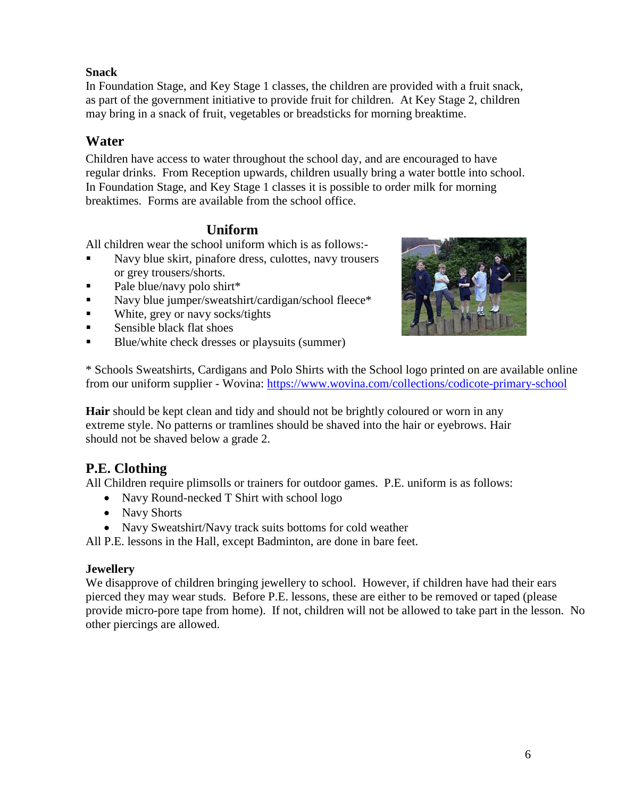#### **Snack**

In Foundation Stage, and Key Stage 1 classes, the children are provided with a fruit snack, as part of the government initiative to provide fruit for children. At Key Stage 2, children may bring in a snack of fruit, vegetables or breadsticks for morning breaktime.

## **Water**

Children have access to water throughout the school day, and are encouraged to have regular drinks. From Reception upwards, children usually bring a water bottle into school. In Foundation Stage, and Key Stage 1 classes it is possible to order milk for morning breaktimes. Forms are available from the school office.

### **Uniform**

All children wear the school uniform which is as follows:-

- Navy blue skirt, pinafore dress, culottes, navy trousers or grey trousers/shorts.
- Pale blue/navy polo shirt\*
- Navy blue jumper/sweatshirt/cardigan/school fleece\*
- White, grey or navy socks/tights
- Sensible black flat shoes
- Blue/white check dresses or playsuits (summer)



\* Schools Sweatshirts, Cardigans and Polo Shirts with the School logo printed on are available online from our uniform supplier - Wovina:<https://www.wovina.com/collections/codicote-primary-school>

**Hair** should be kept clean and tidy and should not be brightly coloured or worn in any extreme style. No patterns or tramlines should be shaved into the hair or eyebrows. Hair should not be shaved below a grade 2.

## **P.E. Clothing**

All Children require plimsolls or trainers for outdoor games. P.E. uniform is as follows:

- Navy Round-necked T Shirt with school logo
- Navy Shorts
- Navy Sweatshirt/Navy track suits bottoms for cold weather

All P.E. lessons in the Hall, except Badminton, are done in bare feet.

#### **Jewellery**

We disapprove of children bringing jewellery to school. However, if children have had their ears pierced they may wear studs. Before P.E. lessons, these are either to be removed or taped (please provide micro-pore tape from home). If not, children will not be allowed to take part in the lesson. No other piercings are allowed.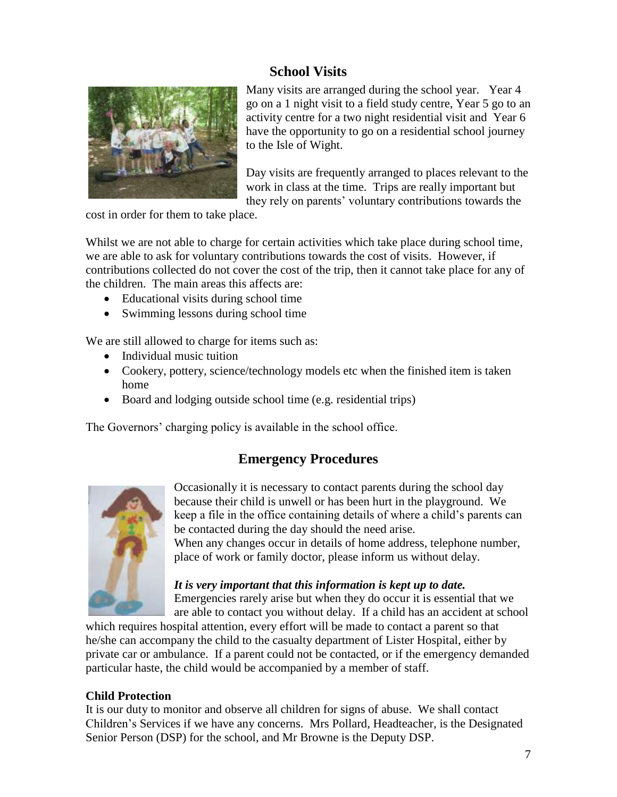## **School Visits**



Many visits are arranged during the school year. Year 4 go on a 1 night visit to a field study centre, Year 5 go to an activity centre for a two night residential visit and Year 6 have the opportunity to go on a residential school journey to the Isle of Wight.

Day visits are frequently arranged to places relevant to the work in class at the time. Trips are really important but they rely on parents' voluntary contributions towards the

cost in order for them to take place.

Whilst we are not able to charge for certain activities which take place during school time, we are able to ask for voluntary contributions towards the cost of visits. However, if contributions collected do not cover the cost of the trip, then it cannot take place for any of the children. The main areas this affects are:

- Educational visits during school time
- Swimming lessons during school time

We are still allowed to charge for items such as:

- Individual music tuition
- Cookery, pottery, science/technology models etc when the finished item is taken home
- Board and lodging outside school time (e.g. residential trips)

The Governors' charging policy is available in the school office.

## **Emergency Procedures**



Occasionally it is necessary to contact parents during the school day because their child is unwell or has been hurt in the playground. We keep a file in the office containing details of where a child's parents can be contacted during the day should the need arise. When any changes occur in details of home address, telephone number, place of work or family doctor, please inform us without delay.

# *It is very important that this information is kept up to date.*

Emergencies rarely arise but when they do occur it is essential that we are able to contact you without delay. If a child has an accident at school

which requires hospital attention, every effort will be made to contact a parent so that he/she can accompany the child to the casualty department of Lister Hospital, either by private car or ambulance. If a parent could not be contacted, or if the emergency demanded particular haste, the child would be accompanied by a member of staff.

#### **Child Protection**

It is our duty to monitor and observe all children for signs of abuse. We shall contact Children's Services if we have any concerns. Mrs Pollard, Headteacher, is the Designated Senior Person (DSP) for the school, and Mr Browne is the Deputy DSP.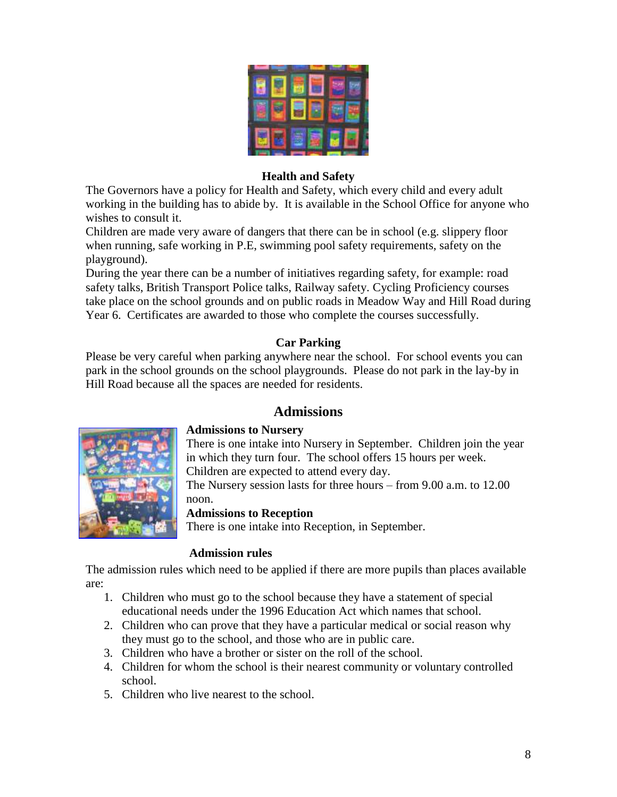

#### **Health and Safety**

The Governors have a policy for Health and Safety, which every child and every adult working in the building has to abide by. It is available in the School Office for anyone who wishes to consult it.

Children are made very aware of dangers that there can be in school (e.g. slippery floor when running, safe working in P.E, swimming pool safety requirements, safety on the playground).

During the year there can be a number of initiatives regarding safety, for example: road safety talks, British Transport Police talks, Railway safety. Cycling Proficiency courses take place on the school grounds and on public roads in Meadow Way and Hill Road during Year 6. Certificates are awarded to those who complete the courses successfully.

#### **Car Parking**

Please be very careful when parking anywhere near the school. For school events you can park in the school grounds on the school playgrounds. Please do not park in the lay-by in Hill Road because all the spaces are needed for residents.

#### **Admissions**



#### **Admissions to Nursery**

There is one intake into Nursery in September. Children join the year in which they turn four. The school offers 15 hours per week. Children are expected to attend every day. The Nursery session lasts for three hours – from 9.00 a.m. to 12.00 noon.

#### **Admissions to Reception**

There is one intake into Reception, in September.

#### **Admission rules**

The admission rules which need to be applied if there are more pupils than places available are:

- 1. Children who must go to the school because they have a statement of special educational needs under the 1996 Education Act which names that school.
- 2. Children who can prove that they have a particular medical or social reason why they must go to the school, and those who are in public care.
- 3. Children who have a brother or sister on the roll of the school.
- 4. Children for whom the school is their nearest community or voluntary controlled school.
- 5. Children who live nearest to the school.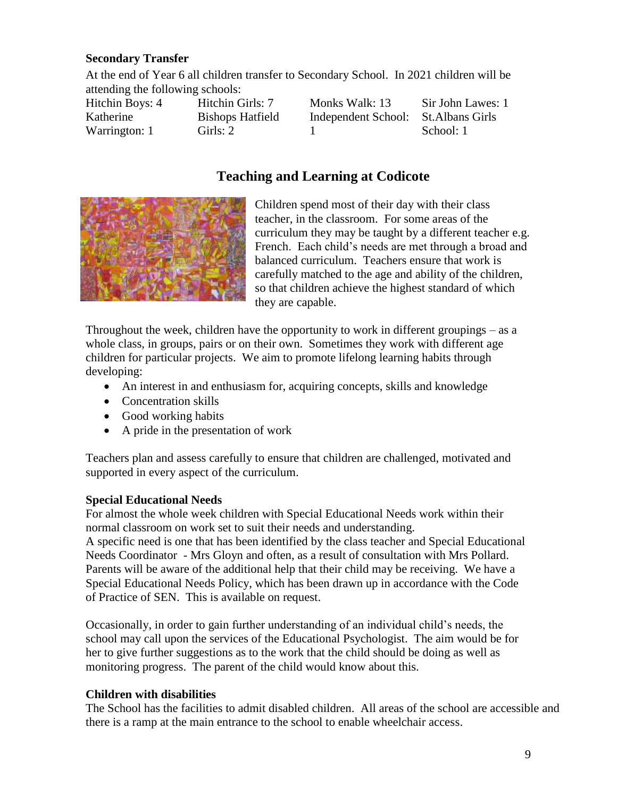#### **Secondary Transfer**

At the end of Year 6 all children transfer to Secondary School. In 2021 children will be attending the following schools:

Hitchin Boys: 4 Hitchin Girls: 7 Monks Walk: 13 Sir John Lawes: 1 Katherine Warrington: 1

Bishops Hatfield Girls: 2

Independent School: 1

St.Albans Girls School: 1

## **Teaching and Learning at Codicote**



Children spend most of their day with their class teacher, in the classroom. For some areas of the curriculum they may be taught by a different teacher e.g. French. Each child's needs are met through a broad and balanced curriculum. Teachers ensure that work is carefully matched to the age and ability of the children, so that children achieve the highest standard of which they are capable.

Throughout the week, children have the opportunity to work in different groupings – as a whole class, in groups, pairs or on their own. Sometimes they work with different age children for particular projects. We aim to promote lifelong learning habits through developing:

- An interest in and enthusiasm for, acquiring concepts, skills and knowledge
- Concentration skills
- Good working habits
- A pride in the presentation of work

Teachers plan and assess carefully to ensure that children are challenged, motivated and supported in every aspect of the curriculum.

#### **Special Educational Needs**

For almost the whole week children with Special Educational Needs work within their normal classroom on work set to suit their needs and understanding.

A specific need is one that has been identified by the class teacher and Special Educational Needs Coordinator - Mrs Gloyn and often, as a result of consultation with Mrs Pollard. Parents will be aware of the additional help that their child may be receiving. We have a Special Educational Needs Policy, which has been drawn up in accordance with the Code of Practice of SEN. This is available on request.

Occasionally, in order to gain further understanding of an individual child's needs, the school may call upon the services of the Educational Psychologist. The aim would be for her to give further suggestions as to the work that the child should be doing as well as monitoring progress. The parent of the child would know about this.

#### **Children with disabilities**

The School has the facilities to admit disabled children. All areas of the school are accessible and there is a ramp at the main entrance to the school to enable wheelchair access.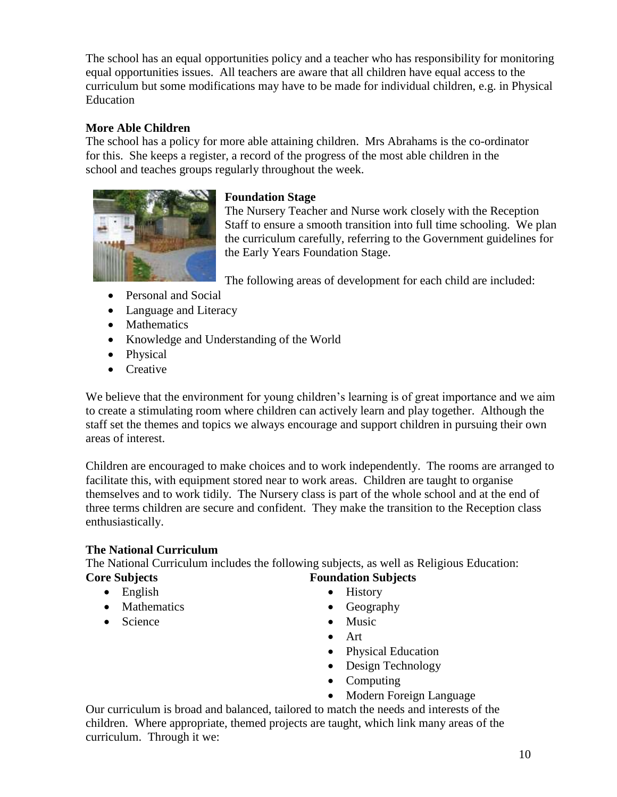The school has an equal opportunities policy and a teacher who has responsibility for monitoring equal opportunities issues. All teachers are aware that all children have equal access to the curriculum but some modifications may have to be made for individual children, e.g. in Physical Education

#### **More Able Children**

The school has a policy for more able attaining children. Mrs Abrahams is the co-ordinator for this. She keeps a register, a record of the progress of the most able children in the school and teaches groups regularly throughout the week.



#### **Foundation Stage**

The Nursery Teacher and Nurse work closely with the Reception Staff to ensure a smooth transition into full time schooling. We plan the curriculum carefully, referring to the Government guidelines for the Early Years Foundation Stage.

The following areas of development for each child are included:

- Personal and Social
- Language and Literacy
- Mathematics
- Knowledge and Understanding of the World
- Physical
- Creative

We believe that the environment for young children's learning is of great importance and we aim to create a stimulating room where children can actively learn and play together. Although the staff set the themes and topics we always encourage and support children in pursuing their own areas of interest.

Children are encouraged to make choices and to work independently. The rooms are arranged to facilitate this, with equipment stored near to work areas. Children are taught to organise themselves and to work tidily. The Nursery class is part of the whole school and at the end of three terms children are secure and confident. They make the transition to the Reception class enthusiastically.

#### **The National Curriculum**

The National Curriculum includes the following subjects, as well as Religious Education: **Core Subjects Foundation Subjects**

- English
- Mathematics
- Science
- History
- Geography
- Music
- Art
- Physical Education
- Design Technology
- Computing
- Modern Foreign Language

Our curriculum is broad and balanced, tailored to match the needs and interests of the children. Where appropriate, themed projects are taught, which link many areas of the curriculum. Through it we: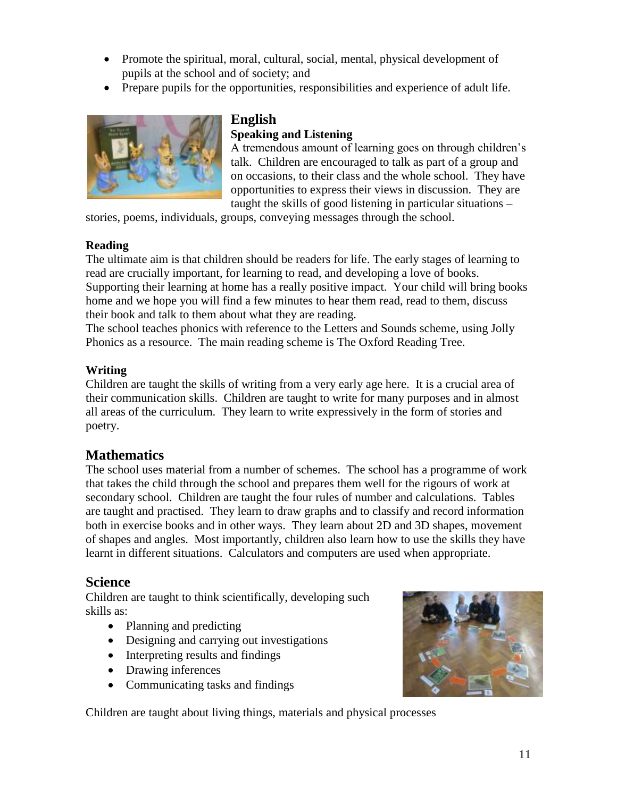- Promote the spiritual, moral, cultural, social, mental, physical development of pupils at the school and of society; and
- Prepare pupils for the opportunities, responsibilities and experience of adult life.



## **English**

#### **Speaking and Listening**

A tremendous amount of learning goes on through children's talk. Children are encouraged to talk as part of a group and on occasions, to their class and the whole school. They have opportunities to express their views in discussion. They are taught the skills of good listening in particular situations –

stories, poems, individuals, groups, conveying messages through the school.

#### **Reading**

The ultimate aim is that children should be readers for life. The early stages of learning to read are crucially important, for learning to read, and developing a love of books. Supporting their learning at home has a really positive impact. Your child will bring books home and we hope you will find a few minutes to hear them read, read to them, discuss their book and talk to them about what they are reading.

The school teaches phonics with reference to the Letters and Sounds scheme, using Jolly Phonics as a resource. The main reading scheme is The Oxford Reading Tree.

#### **Writing**

Children are taught the skills of writing from a very early age here. It is a crucial area of their communication skills. Children are taught to write for many purposes and in almost all areas of the curriculum. They learn to write expressively in the form of stories and poetry.

## **Mathematics**

The school uses material from a number of schemes. The school has a programme of work that takes the child through the school and prepares them well for the rigours of work at secondary school. Children are taught the four rules of number and calculations. Tables are taught and practised. They learn to draw graphs and to classify and record information both in exercise books and in other ways. They learn about 2D and 3D shapes, movement of shapes and angles. Most importantly, children also learn how to use the skills they have learnt in different situations. Calculators and computers are used when appropriate.

#### **Science**

Children are taught to think scientifically, developing such skills as:

- Planning and predicting
- Designing and carrying out investigations
- Interpreting results and findings
- Drawing inferences
- Communicating tasks and findings

Children are taught about living things, materials and physical processes

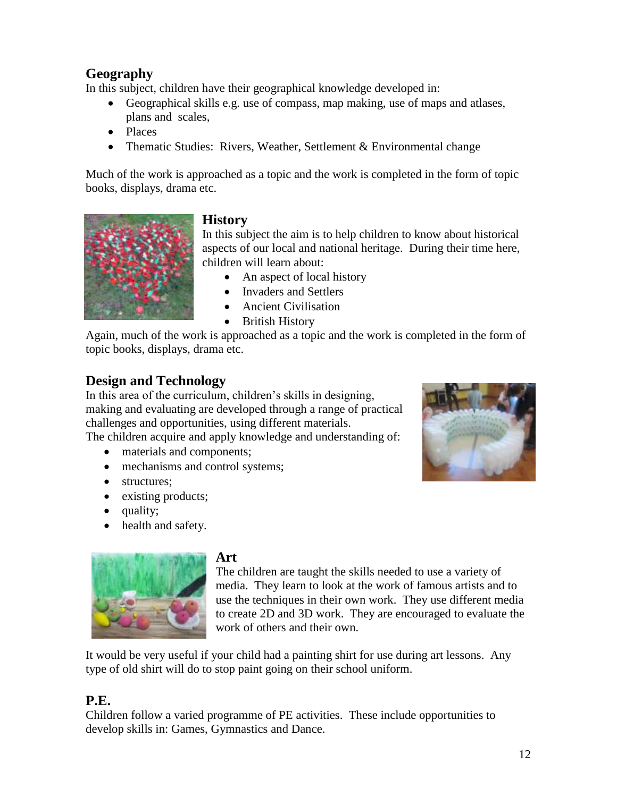## **Geography**

In this subject, children have their geographical knowledge developed in:

- Geographical skills e.g. use of compass, map making, use of maps and atlases, plans and scales,
- Places
- Thematic Studies: Rivers, Weather, Settlement & Environmental change

Much of the work is approached as a topic and the work is completed in the form of topic books, displays, drama etc.



## **History**

In this subject the aim is to help children to know about historical aspects of our local and national heritage. During their time here, children will learn about:

- An aspect of local history
- Invaders and Settlers
- Ancient Civilisation
- British History

Again, much of the work is approached as a topic and the work is completed in the form of topic books, displays, drama etc.

## **Design and Technology**

In this area of the curriculum, children's skills in designing, making and evaluating are developed through a range of practical challenges and opportunities, using different materials.

The children acquire and apply knowledge and understanding of:

- materials and components;
- mechanisms and control systems;
- structures;
- existing products;
- quality;
- health and safety.



#### **Art**

The children are taught the skills needed to use a variety of media. They learn to look at the work of famous artists and to use the techniques in their own work. They use different media to create 2D and 3D work. They are encouraged to evaluate the work of others and their own.

It would be very useful if your child had a painting shirt for use during art lessons. Any type of old shirt will do to stop paint going on their school uniform.

## **P.E.**

Children follow a varied programme of PE activities. These include opportunities to develop skills in: Games, Gymnastics and Dance.

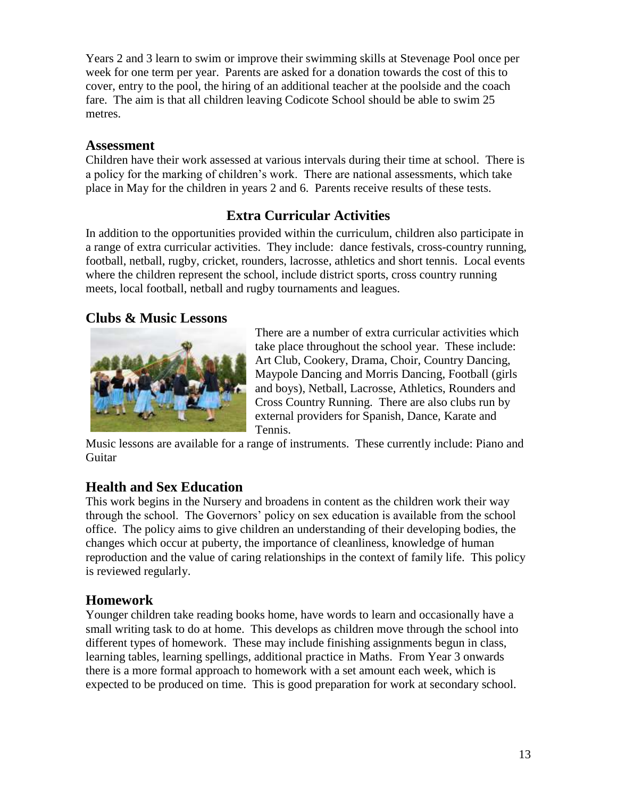Years 2 and 3 learn to swim or improve their swimming skills at Stevenage Pool once per week for one term per year. Parents are asked for a donation towards the cost of this to cover, entry to the pool, the hiring of an additional teacher at the poolside and the coach fare. The aim is that all children leaving Codicote School should be able to swim 25 metres.

#### **Assessment**

Children have their work assessed at various intervals during their time at school. There is a policy for the marking of children's work. There are national assessments, which take place in May for the children in years 2 and 6. Parents receive results of these tests.

## **Extra Curricular Activities**

In addition to the opportunities provided within the curriculum, children also participate in a range of extra curricular activities. They include: dance festivals, cross-country running, football, netball, rugby, cricket, rounders, lacrosse, athletics and short tennis. Local events where the children represent the school, include district sports, cross country running meets, local football, netball and rugby tournaments and leagues.

#### **Clubs & Music Lessons**



There are a number of extra curricular activities which take place throughout the school year. These include: Art Club, Cookery, Drama, Choir, Country Dancing, Maypole Dancing and Morris Dancing, Football (girls and boys), Netball, Lacrosse, Athletics, Rounders and Cross Country Running. There are also clubs run by external providers for Spanish, Dance, Karate and Tennis.

Music lessons are available for a range of instruments. These currently include: Piano and Guitar

## **Health and Sex Education**

This work begins in the Nursery and broadens in content as the children work their way through the school. The Governors' policy on sex education is available from the school office. The policy aims to give children an understanding of their developing bodies, the changes which occur at puberty, the importance of cleanliness, knowledge of human reproduction and the value of caring relationships in the context of family life. This policy is reviewed regularly.

#### **Homework**

Younger children take reading books home, have words to learn and occasionally have a small writing task to do at home. This develops as children move through the school into different types of homework. These may include finishing assignments begun in class, learning tables, learning spellings, additional practice in Maths. From Year 3 onwards there is a more formal approach to homework with a set amount each week, which is expected to be produced on time. This is good preparation for work at secondary school.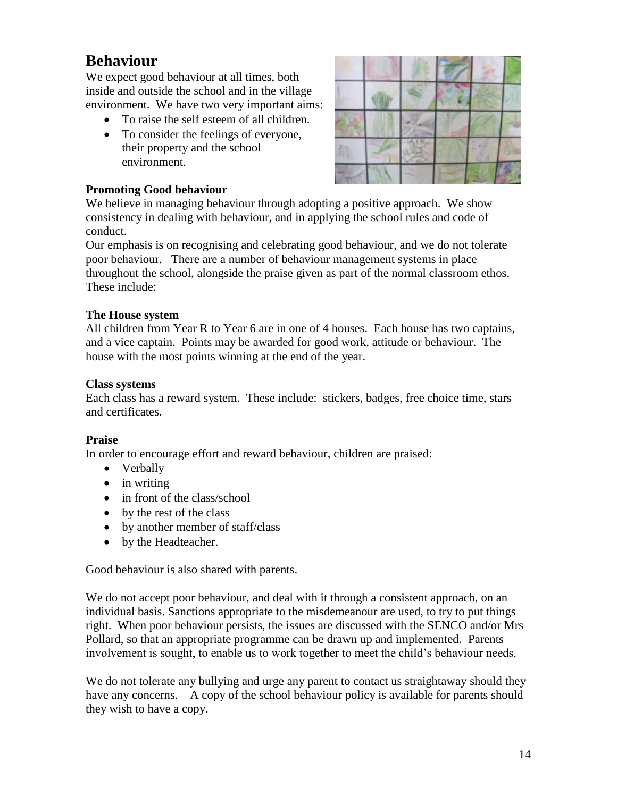# **Behaviour**

We expect good behaviour at all times, both inside and outside the school and in the village environment. We have two very important aims:

- To raise the self esteem of all children.
- To consider the feelings of everyone, their property and the school environment.

#### **Promoting Good behaviour**



We believe in managing behaviour through adopting a positive approach. We show consistency in dealing with behaviour, and in applying the school rules and code of conduct.

Our emphasis is on recognising and celebrating good behaviour, and we do not tolerate poor behaviour. There are a number of behaviour management systems in place throughout the school, alongside the praise given as part of the normal classroom ethos. These include:

#### **The House system**

All children from Year R to Year 6 are in one of 4 houses. Each house has two captains, and a vice captain. Points may be awarded for good work, attitude or behaviour. The house with the most points winning at the end of the year.

#### **Class systems**

Each class has a reward system. These include: stickers, badges, free choice time, stars and certificates.

#### **Praise**

In order to encourage effort and reward behaviour, children are praised:

- Verbally
- $\bullet$  in writing
- in front of the class/school
- by the rest of the class
- by another member of staff/class
- by the Headteacher.

Good behaviour is also shared with parents.

We do not accept poor behaviour, and deal with it through a consistent approach, on an individual basis. Sanctions appropriate to the misdemeanour are used, to try to put things right. When poor behaviour persists, the issues are discussed with the SENCO and/or Mrs Pollard, so that an appropriate programme can be drawn up and implemented. Parents involvement is sought, to enable us to work together to meet the child's behaviour needs.

We do not tolerate any bullying and urge any parent to contact us straightaway should they have any concerns. A copy of the school behaviour policy is available for parents should they wish to have a copy.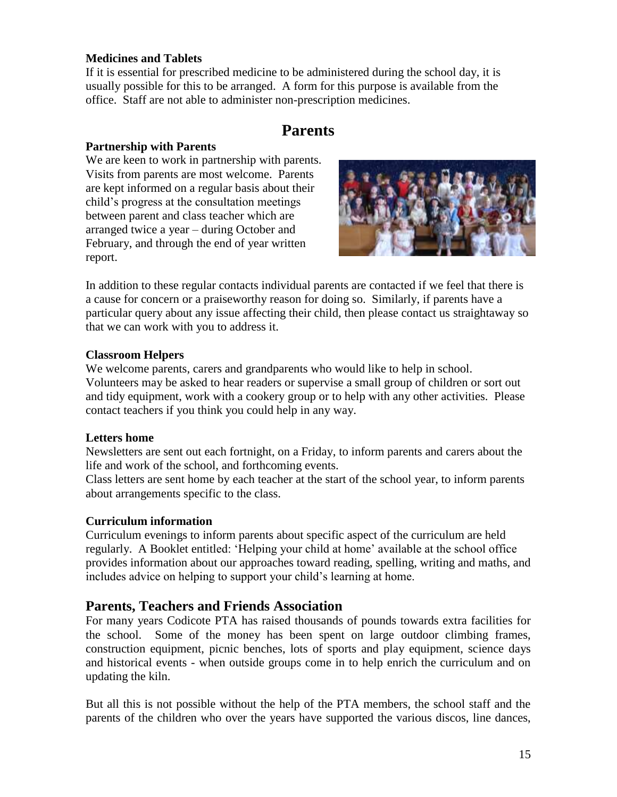#### **Medicines and Tablets**

If it is essential for prescribed medicine to be administered during the school day, it is usually possible for this to be arranged. A form for this purpose is available from the office. Staff are not able to administer non-prescription medicines.

## **Parents**

#### **Partnership with Parents**

We are keen to work in partnership with parents. Visits from parents are most welcome. Parents are kept informed on a regular basis about their child's progress at the consultation meetings between parent and class teacher which are arranged twice a year – during October and February, and through the end of year written report.



In addition to these regular contacts individual parents are contacted if we feel that there is a cause for concern or a praiseworthy reason for doing so. Similarly, if parents have a particular query about any issue affecting their child, then please contact us straightaway so that we can work with you to address it.

#### **Classroom Helpers**

We welcome parents, carers and grandparents who would like to help in school. Volunteers may be asked to hear readers or supervise a small group of children or sort out and tidy equipment, work with a cookery group or to help with any other activities. Please contact teachers if you think you could help in any way.

#### **Letters home**

Newsletters are sent out each fortnight, on a Friday, to inform parents and carers about the life and work of the school, and forthcoming events.

Class letters are sent home by each teacher at the start of the school year, to inform parents about arrangements specific to the class.

#### **Curriculum information**

Curriculum evenings to inform parents about specific aspect of the curriculum are held regularly. A Booklet entitled: 'Helping your child at home' available at the school office provides information about our approaches toward reading, spelling, writing and maths, and includes advice on helping to support your child's learning at home.

#### **Parents, Teachers and Friends Association**

For many years Codicote PTA has raised thousands of pounds towards extra facilities for the school. Some of the money has been spent on large outdoor climbing frames, construction equipment, picnic benches, lots of sports and play equipment, science days and historical events - when outside groups come in to help enrich the curriculum and on updating the kiln.

But all this is not possible without the help of the PTA members, the school staff and the parents of the children who over the years have supported the various discos, line dances,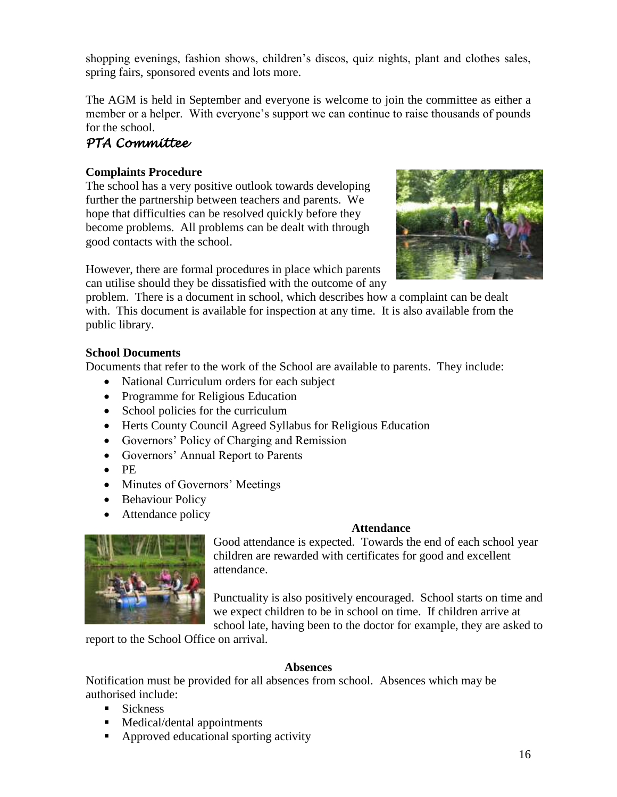shopping evenings, fashion shows, children's discos, quiz nights, plant and clothes sales, spring fairs, sponsored events and lots more.

The AGM is held in September and everyone is welcome to join the committee as either a member or a helper. With everyone's support we can continue to raise thousands of pounds for the school.

## *PTA Committee*

## **Complaints Procedure**

The school has a very positive outlook towards developing further the partnership between teachers and parents. We hope that difficulties can be resolved quickly before they become problems. All problems can be dealt with through good contacts with the school.



However, there are formal procedures in place which parents can utilise should they be dissatisfied with the outcome of any

problem. There is a document in school, which describes how a complaint can be dealt with. This document is available for inspection at any time. It is also available from the public library.

### **School Documents**

Documents that refer to the work of the School are available to parents. They include:

- National Curriculum orders for each subject
- Programme for Religious Education
- School policies for the curriculum
- Herts County Council Agreed Syllabus for Religious Education
- Governors' Policy of Charging and Remission
- Governors' Annual Report to Parents
- $\bullet$  PE
- Minutes of Governors' Meetings
- Behaviour Policy
- Attendance policy

## **Attendance**



Good attendance is expected. Towards the end of each school year children are rewarded with certificates for good and excellent attendance.

Punctuality is also positively encouraged. School starts on time and we expect children to be in school on time. If children arrive at school late, having been to the doctor for example, they are asked to

report to the School Office on arrival.

#### **Absences**

Notification must be provided for all absences from school. Absences which may be authorised include:

- **Sickness**
- Medical/dental appointments
- Approved educational sporting activity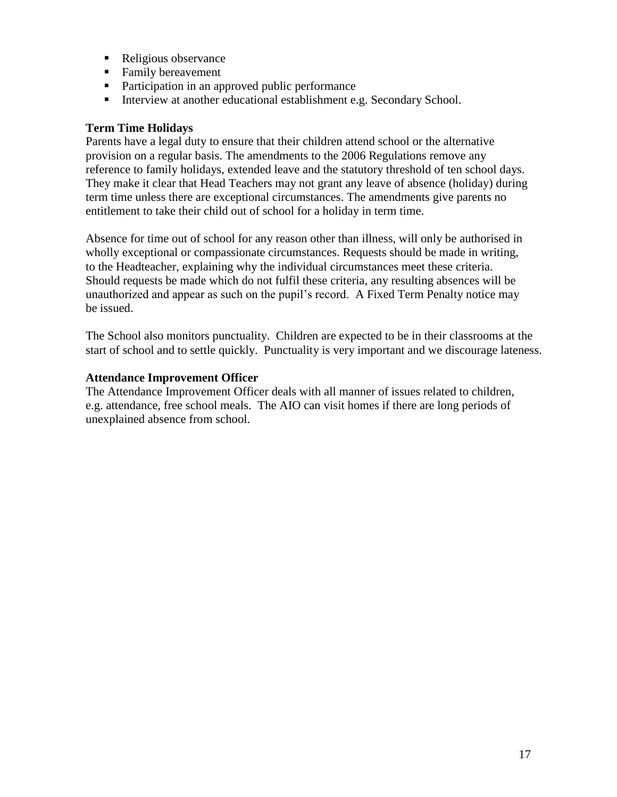- Religious observance
- Family bereavement
- **Participation in an approved public performance**
- Interview at another educational establishment e.g. Secondary School.

#### **Term Time Holidays**

Parents have a legal duty to ensure that their children attend school or the alternative provision on a regular basis. The amendments to the 2006 Regulations remove any reference to family holidays, extended leave and the statutory threshold of ten school days. They make it clear that Head Teachers may not grant any leave of absence (holiday) during term time unless there are exceptional circumstances. The amendments give parents no entitlement to take their child out of school for a holiday in term time.

Absence for time out of school for any reason other than illness, will only be authorised in wholly exceptional or compassionate circumstances. Requests should be made in writing, to the Headteacher, explaining why the individual circumstances meet these criteria. Should requests be made which do not fulfil these criteria, any resulting absences will be unauthorized and appear as such on the pupil's record. A Fixed Term Penalty notice may be issued.

The School also monitors punctuality. Children are expected to be in their classrooms at the start of school and to settle quickly. Punctuality is very important and we discourage lateness.

#### **Attendance Improvement Officer**

The Attendance Improvement Officer deals with all manner of issues related to children, e.g. attendance, free school meals. The AIO can visit homes if there are long periods of unexplained absence from school.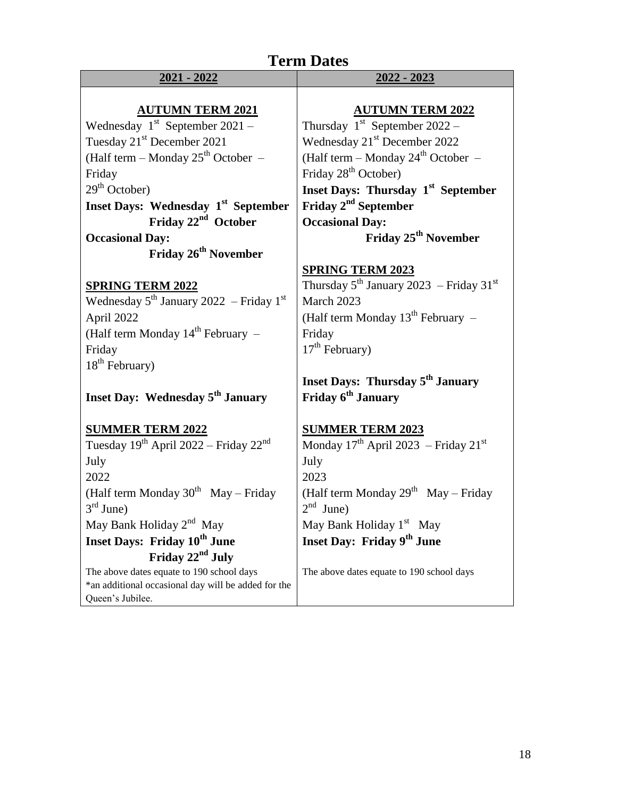# **Term Dates**

| 2021 - 2022                                         | 2022 - 2023                                                     |
|-----------------------------------------------------|-----------------------------------------------------------------|
|                                                     |                                                                 |
| <b>AUTUMN TERM 2021</b>                             | <b>AUTUMN TERM 2022</b>                                         |
| Wednesday $1st$ September 2021 –                    | Thursday $1st$ September 2022 –                                 |
| Tuesday 21 <sup>st</sup> December 2021              | Wednesday 21 <sup>st</sup> December 2022                        |
| (Half term – Monday $25^{th}$ October –             | (Half term – Monday $24^{\text{th}}$ October –                  |
| Friday                                              | Friday 28 <sup>th</sup> October)                                |
| $29th$ October)                                     | Inset Days: Thursday 1 <sup>st</sup> September                  |
| Inset Days: Wednesday 1 <sup>st</sup> September     | Friday 2 <sup>nd</sup> September                                |
| Friday 22 <sup>nd</sup> October                     | <b>Occasional Day:</b>                                          |
| <b>Occasional Day:</b>                              | Friday 25 <sup>th</sup> November                                |
| Friday 26 <sup>th</sup> November                    |                                                                 |
|                                                     | <b>SPRING TERM 2023</b>                                         |
| <b>SPRING TERM 2022</b>                             | Thursday $5^{\text{th}}$ January 2023 – Friday 31 <sup>st</sup> |
| Wednesday $5^{th}$ January 2022 – Friday $1^{st}$   | March 2023                                                      |
| April 2022                                          | (Half term Monday $13^{th}$ February $-$                        |
| (Half term Monday $14th$ February $-$               | Friday                                                          |
| Friday                                              | $17th$ February)                                                |
| $18th$ February)                                    |                                                                 |
|                                                     | <b>Inset Days: Thursday 5<sup>th</sup> January</b>              |
| <b>Inset Day: Wednesday 5<sup>th</sup> January</b>  | Friday 6 <sup>th</sup> January                                  |
| <b>SUMMER TERM 2022</b>                             | <b>SUMMER TERM 2023</b>                                         |
| Tuesday $19^{th}$ April 2022 – Friday $22^{nd}$     | Monday $17th$ April 2023 – Friday $21st$                        |
| July                                                | July                                                            |
| 2022                                                | 2023                                                            |
| (Half term Monday 30 <sup>th</sup> May – Friday     | (Half term Monday $29th$ May – Friday                           |
| $3rd$ June)                                         | $2^{nd}$ June)                                                  |
| May Bank Holiday 2 <sup>nd</sup> May                | May Bank Holiday 1 <sup>st</sup> May                            |
| <b>Inset Days: Friday 10th June</b>                 | Inset Day: Friday 9 <sup>th</sup> June                          |
| Friday 22 <sup>nd</sup> July                        |                                                                 |
| The above dates equate to 190 school days           | The above dates equate to 190 school days                       |
| *an additional occasional day will be added for the |                                                                 |
| Queen's Jubilee.                                    |                                                                 |